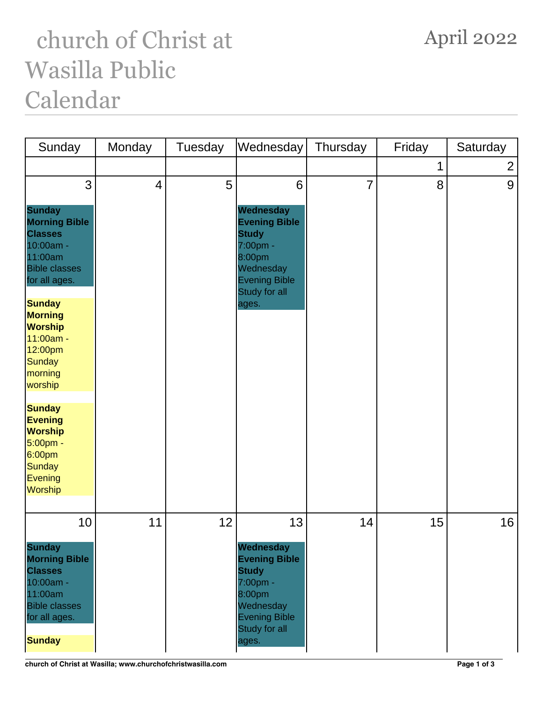## church of Christ at Wasilla Public Calendar

| Sunday                                                                                                                                                                                                                                     | Monday                   | Tuesday | Wednesday                                                                                                                                    | Thursday       | Friday | Saturday       |
|--------------------------------------------------------------------------------------------------------------------------------------------------------------------------------------------------------------------------------------------|--------------------------|---------|----------------------------------------------------------------------------------------------------------------------------------------------|----------------|--------|----------------|
|                                                                                                                                                                                                                                            |                          |         |                                                                                                                                              |                |        | $\overline{2}$ |
| 3<br><b>Sunday</b><br><b>Morning Bible</b><br><b>Classes</b><br>10:00am -<br>11:00am<br><b>Bible classes</b><br>for all ages.<br><b>Sunday</b><br><b>Morning</b><br>Worship<br>11:00am -<br>12:00pm<br><b>Sunday</b><br>morning<br>worship | $\overline{\mathcal{A}}$ | 5       | 6<br>Wednesday<br><b>Evening Bible</b><br><b>Study</b><br>7:00pm -<br>8:00pm<br>Wednesday<br><b>Evening Bible</b><br>Study for all<br>ages.  | $\overline{7}$ | 8      | 9              |
| <b>Sunday</b><br><b>Evening</b><br><b>Worship</b><br>5:00pm -<br>6:00pm<br><b>Sunday</b><br>Evening<br>Worship                                                                                                                             |                          |         |                                                                                                                                              |                |        |                |
| 10<br><b>Sunday</b><br><b>Morning Bible</b><br><b>Classes</b><br>10:00am -<br>11:00am<br><b>Bible classes</b><br>for all ages.<br><b>Sunday</b>                                                                                            | 11                       | 12      | 13<br>Wednesday<br><b>Evening Bible</b><br><b>Study</b><br>7:00pm -<br>8:00pm<br>Wednesday<br><b>Evening Bible</b><br>Study for all<br>ages. | 14             | 15     | 16             |

## April 2022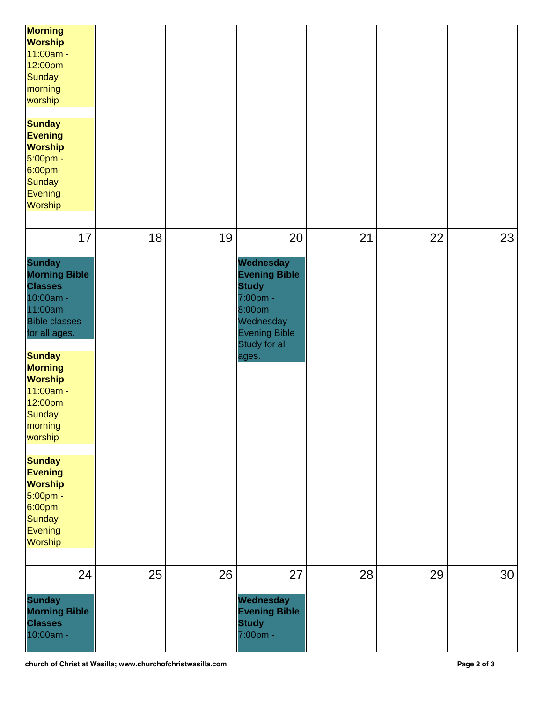| Morning<br><b>Worship</b><br>11:00am -<br>12:00pm<br><b>Sunday</b><br>morning<br>worship<br><b>Sunday</b><br><b>Evening</b><br><b>Worship</b><br>5:00pm -<br>6:00pm<br><b>Sunday</b><br><b>Evening</b><br><b>Worship</b>                                                                                                                |    |    |                                                                                                                                              |    |    |    |
|-----------------------------------------------------------------------------------------------------------------------------------------------------------------------------------------------------------------------------------------------------------------------------------------------------------------------------------------|----|----|----------------------------------------------------------------------------------------------------------------------------------------------|----|----|----|
| 17<br><b>Sunday</b><br><b>Morning Bible</b><br><b>Classes</b><br>10:00am -<br>11:00am<br><b>Bible classes</b><br>for all ages.<br><b>Sunday</b><br><b>Morning</b><br><b>Worship</b><br>11:00am -<br>12:00pm<br><b>Sunday</b><br>morning<br>worship<br><b>Sunday</b><br><b>Evening</b><br><b>Worship</b><br>5:00pm -<br>6:00pm<br>Sunday | 18 | 19 | 20<br>Wednesday<br><b>Evening Bible</b><br><b>Study</b><br>7:00pm -<br>8:00pm<br>Wednesday<br><b>Evening Bible</b><br>Study for all<br>ages. | 21 | 22 | 23 |
| Evening<br><b>Worship</b><br>24<br><b>Sunday</b><br><b>Morning Bible</b><br><b>Classes</b><br>10:00am -                                                                                                                                                                                                                                 | 25 | 26 | 27<br>Wednesday<br><b>Evening Bible</b><br><b>Study</b><br>7:00pm -                                                                          | 28 | 29 | 30 |